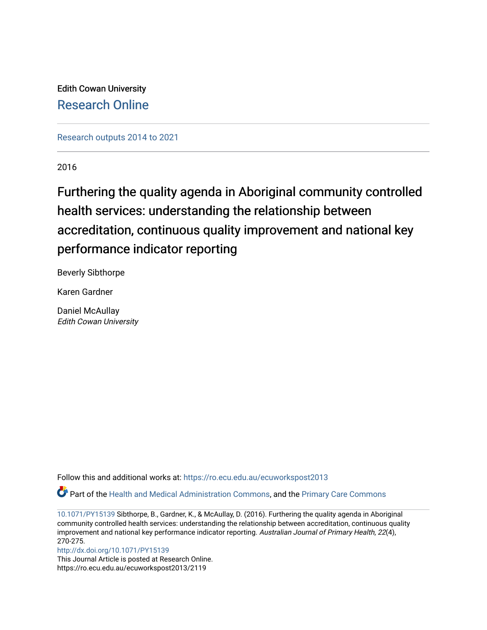Edith Cowan University [Research Online](https://ro.ecu.edu.au/) 

[Research outputs 2014 to 2021](https://ro.ecu.edu.au/ecuworkspost2013) 

2016

# Furthering the quality agenda in Aboriginal community controlled health services: understanding the relationship between accreditation, continuous quality improvement and national key performance indicator reporting

Beverly Sibthorpe

Karen Gardner

Daniel McAullay Edith Cowan University

Follow this and additional works at: [https://ro.ecu.edu.au/ecuworkspost2013](https://ro.ecu.edu.au/ecuworkspost2013?utm_source=ro.ecu.edu.au%2Fecuworkspost2013%2F2119&utm_medium=PDF&utm_campaign=PDFCoverPages) 

Part of the [Health and Medical Administration Commons](https://network.bepress.com/hgg/discipline/663?utm_source=ro.ecu.edu.au%2Fecuworkspost2013%2F2119&utm_medium=PDF&utm_campaign=PDFCoverPages), and the [Primary Care Commons](https://network.bepress.com/hgg/discipline/1092?utm_source=ro.ecu.edu.au%2Fecuworkspost2013%2F2119&utm_medium=PDF&utm_campaign=PDFCoverPages) 

[10.1071/PY15139](http://dx.doi.org/10.1071/PY15139) Sibthorpe, B., Gardner, K., & McAullay, D. (2016). Furthering the quality agenda in Aboriginal community controlled health services: understanding the relationship between accreditation, continuous quality improvement and national key performance indicator reporting. Australian Journal of Primary Health, 22(4), 270-275.

<http://dx.doi.org/10.1071/PY15139>

This Journal Article is posted at Research Online. https://ro.ecu.edu.au/ecuworkspost2013/2119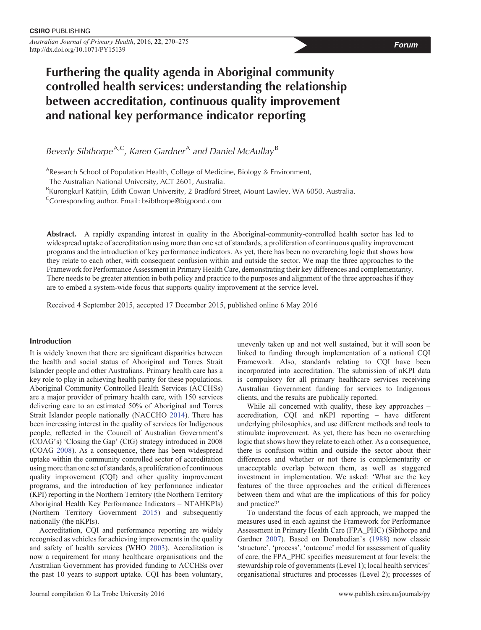*Australian Journal of Primary Health*, 2016, **22**, 270–275 **Forum http://dx**.doi.org/10.1071/PY15139 **Forum** 

# **Furthering the quality agenda in Aboriginal community controlled health services: understanding the relationship between accreditation, continuous quality improvement and national key performance indicator reporting**

*Beverly Sibthorpe<sup>A,C</sup>, Karen Gardner<sup>A</sup> and Daniel McAullay<sup>B</sup>* 

AResearch School of Population Health, College of Medicine, Biology & Environment,

The Australian National University, ACT 2601, Australia.

<sup>B</sup>Kurongkurl Katitjin, Edith Cowan University, 2 Bradford Street, Mount Lawley, WA 6050, Australia.

 $C$ Corresponding author. Email: [bsibthorpe@bigpond.com](mailto:bsibthorpe@bigpond.com)

**Abstract.** A rapidly expanding interest in quality in the Aboriginal-community-controlled health sector has led to widespread uptake of accreditation using more than one set of standards, a proliferation of continuous quality improvement programs and the introduction of key performance indicators. As yet, there has been no overarching logic that shows how they relate to each other, with consequent confusion within and outside the sector. We map the three approaches to the Framework for Performance Assessment in Primary Health Care, demonstrating their key differences and complementarity. There needs to be greater attention in both policy and practice to the purposes and alignment of the three approaches if they are to embed a system-wide focus that supports quality improvement at the service level.

Received 4 September 2015, accepted 17 December 2015, published online 6 May 2016

#### **Introduction**

It is widely known that there are significant disparities between the health and social status of Aboriginal and Torres Strait Islander people and other Australians. Primary health care has a key role to play in achieving health parity for these populations. Aboriginal Community Controlled Health Services (ACCHSs) are a major provider of primary health care, with 150 services delivering care to an estimated 50% of Aboriginal and Torres Strait Islander people nationally (NACCHO [2014](#page-5-0)). There has been increasing interest in the quality of services for Indigenous people, reflected in the Council of Australian Government's (COAG's) 'Closing the Gap' (CtG) strategy introduced in 2008 (COAG [2008](#page-5-0)). As a consequence, there has been widespread uptake within the community controlled sector of accreditation using more than one set of standards, a proliferation of continuous quality improvement (CQI) and other quality improvement programs, and the introduction of key performance indicator (KPI) reporting in the Northern Territory (the Northern Territory Aboriginal Health Key Performance Indicators – NTAHKPIs) (Northern Territory Government [2015](#page-5-0)) and subsequently nationally (the nKPIs).

Accreditation, CQI and performance reporting are widely recognised as vehicles for achieving improvements in the quality and safety of health services (WHO [2003](#page-6-0)). Accreditation is now a requirement for many healthcare organisations and the Australian Government has provided funding to ACCHSs over the past 10 years to support uptake. CQI has been voluntary, unevenly taken up and not well sustained, but it will soon be linked to funding through implementation of a national CQI Framework. Also, standards relating to CQI have been incorporated into accreditation. The submission of nKPI data is compulsory for all primary healthcare services receiving Australian Government funding for services to Indigenous clients, and the results are publically reported.

While all concerned with quality, these key approaches – accreditation, CQI and nKPI reporting – have different underlying philosophies, and use different methods and tools to stimulate improvement. As yet, there has been no overarching logic that shows how they relate to each other. As a consequence, there is confusion within and outside the sector about their differences and whether or not there is complementarity or unacceptable overlap between them, as well as staggered investment in implementation. We asked: 'What are the key features of the three approaches and the critical differences between them and what are the implications of this for policy and practice?'

To understand the focus of each approach, we mapped the measures used in each against the Framework for Performance Assessment in Primary Health Care (FPA\_PHC) (Sibthorpe and Gardner [2007](#page-6-0)). Based on Donabedian's [\(1988](#page-5-0)) now classic 'structure', 'process', 'outcome' model for assessment of quality of care, the FPA\_PHC specifies measurement at four levels: the stewardship role of governments (Level 1); local health services' organisational structures and processes (Level 2); processes of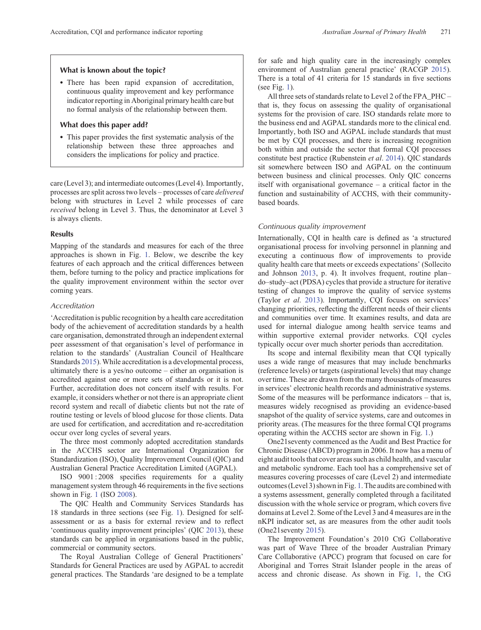#### **What is known about the topic?**

\* There has been rapid expansion of accreditation, continuous quality improvement and key performance indicator reporting in Aboriginal primary health care but no formal analysis of the relationship between them.

#### **What does this paper add?**

\* This paper provides the first systematic analysis of the relationship between these three approaches and considers the implications for policy and practice.

care (Level 3); and intermediate outcomes (Level 4). Importantly, processes are split across two levels – processes of care *delivered* belong with structures in Level 2 while processes of care *received* belong in Level 3. Thus, the denominator at Level 3 is always clients.

# **Results**

Mapping of the standards and measures for each of the three approaches is shown in Fig. [1.](#page-3-0) Below, we describe the key features of each approach and the critical differences between them, before turning to the policy and practice implications for the quality improvement environment within the sector over coming years.

#### *Accreditation*

'Accreditation is public recognition by a health care accreditation body of the achievement of accreditation standards by a health care organisation, demonstrated through an independent external peer assessment of that organisation's level of performance in relation to the standards' (Australian Council of Healthcare Standards [2015\)](#page-5-0). While accreditation is a developmental process, ultimately there is a yes/no outcome – either an organisation is accredited against one or more sets of standards or it is not. Further, accreditation does not concern itself with results. For example, it considers whether or not there is an appropriate client record system and recall of diabetic clients but not the rate of routine testing or levels of blood glucose for those clients. Data are used for certification, and accreditation and re-accreditation occur over long cycles of several years.

The three most commonly adopted accreditation standards in the ACCHS sector are International Organization for Standardization (ISO), Quality Improvement Council (QIC) and Australian General Practice Accreditation Limited (AGPAL).

ISO 9001 : 2008 specifies requirements for a quality management system through 46 requirements in the five sections shown in Fig. [1](#page-3-0) (ISO [2008](#page-5-0)).

The QIC Health and Community Services Standards has 18 standards in three sections (see Fig. [1\)](#page-3-0). Designed for selfassessment or as a basis for external review and to reflect 'continuous quality improvement principles' (QIC [2013](#page-6-0)), these standards can be applied in organisations based in the public, commercial or community sectors.

The Royal Australian College of General Practitioners' Standards for General Practices are used by AGPAL to accredit general practices. The Standards 'are designed to be a template for safe and high quality care in the increasingly complex environment of Australian general practice' (RACGP [2015](#page-6-0)). There is a total of 41 criteria for 15 standards in five sections (see Fig.  $1$ ).

All three sets of standards relate to Level 2 of the FPA\_PHC – that is, they focus on assessing the quality of organisational systems for the provision of care. ISO standards relate more to the business end and AGPAL standards more to the clinical end. Importantly, both ISO and AGPAL include standards that must be met by CQI processes, and there is increasing recognition both within and outside the sector that formal CQI processes constitute best practice (Rubenstein *et al*. [2014](#page-6-0)). QIC standards sit somewhere between ISO and AGPAL on the continuum between business and clinical processes. Only QIC concerns itself with organisational governance – a critical factor in the function and sustainability of ACCHS, with their communitybased boards.

#### *Continuous quality improvement*

Internationally, CQI in health care is defined as 'a structured organisational process for involving personnel in planning and executing a continuous flow of improvements to provide quality health care that meets or exceeds expectations' (Sollecito and Johnson [2013](#page-6-0), p. 4). It involves frequent, routine plan– do–study–act (PDSA) cycles that provide a structure for iterative testing of changes to improve the quality of service systems (Taylor *et al*. [2013\)](#page-6-0). Importantly, CQI focuses on services' changing priorities, reflecting the different needs of their clients and communities over time. It examines results, and data are used for internal dialogue among health service teams and within supportive external provider networks. CQI cycles typically occur over much shorter periods than accreditation.

Its scope and internal flexibility mean that CQI typically uses a wide range of measures that may include benchmarks (reference levels) or targets (aspirational levels) that may change over time. These are drawn from the many thousands of measures in services' electronic health records and administrative systems. Some of the measures will be performance indicators – that is, measures widely recognised as providing an evidence-based snapshot of the quality of service systems, care and outcomes in priority areas. (The measures for the three formal CQI programs operating within the ACCHS sector are shown in Fig. [1.](#page-3-0))

One21seventy commenced as the Audit and Best Practice for Chronic Disease (ABCD) program in 2006. It now has a menu of eight audit tools that cover areas such as child health, and vascular and metabolic syndrome. Each tool has a comprehensive set of measures covering processes of care (Level 2) and intermediate outcomes (Level 3) shown in Fig. [1](#page-3-0). The audits are combined with a systems assessment, generally completed through a facilitated discussion with the whole service or program, which covers five domains at Level 2. Some of the Level 3 and 4 measures are in the nKPI indicator set, as are measures from the other audit tools (One21seventy [2015\)](#page-6-0).

The Improvement Foundation's 2010 CtG Collaborative was part of Wave Three of the broader Australian Primary Care Collaborative (APCC) program that focused on care for Aboriginal and Torres Strait Islander people in the areas of access and chronic disease. As shown in Fig. [1,](#page-3-0) the CtG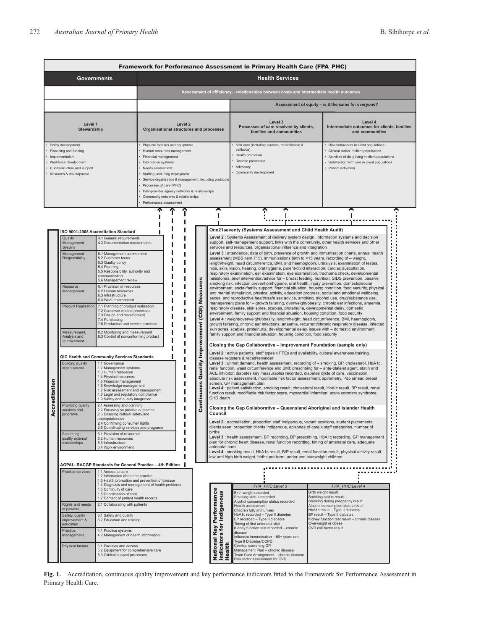<span id="page-3-0"></span>

|                                                                                                                                                   |                                                                                                                                                                                                                                                                                                                                               |                                                                                                                                                                                                                                                                                                                     |                                                                                                                                                                                                                                                                                                                                                                             |  |                                                                                                                                                                                              |                                                                                                                                                                                                                                                                                                                      | <b>Framework for Performance Assessment in Primary Health Care (FPA_PHC)</b>                                                                                                                                                                                                                                                                                                                                                                                                                                                                                                                                                                                                                                                                                                                                                                                                                                                                                                                                                                                                                                                                                                                                                                                                                                                                                                                                                                                                                                                                                                                                                                                                                                                                                                                                                                                      |                                                                                                                                                                                                                                                     |                                                                                                                                         |                                                                                                                                           |
|---------------------------------------------------------------------------------------------------------------------------------------------------|-----------------------------------------------------------------------------------------------------------------------------------------------------------------------------------------------------------------------------------------------------------------------------------------------------------------------------------------------|---------------------------------------------------------------------------------------------------------------------------------------------------------------------------------------------------------------------------------------------------------------------------------------------------------------------|-----------------------------------------------------------------------------------------------------------------------------------------------------------------------------------------------------------------------------------------------------------------------------------------------------------------------------------------------------------------------------|--|----------------------------------------------------------------------------------------------------------------------------------------------------------------------------------------------|----------------------------------------------------------------------------------------------------------------------------------------------------------------------------------------------------------------------------------------------------------------------------------------------------------------------|-------------------------------------------------------------------------------------------------------------------------------------------------------------------------------------------------------------------------------------------------------------------------------------------------------------------------------------------------------------------------------------------------------------------------------------------------------------------------------------------------------------------------------------------------------------------------------------------------------------------------------------------------------------------------------------------------------------------------------------------------------------------------------------------------------------------------------------------------------------------------------------------------------------------------------------------------------------------------------------------------------------------------------------------------------------------------------------------------------------------------------------------------------------------------------------------------------------------------------------------------------------------------------------------------------------------------------------------------------------------------------------------------------------------------------------------------------------------------------------------------------------------------------------------------------------------------------------------------------------------------------------------------------------------------------------------------------------------------------------------------------------------------------------------------------------------------------------------------------------------|-----------------------------------------------------------------------------------------------------------------------------------------------------------------------------------------------------------------------------------------------------|-----------------------------------------------------------------------------------------------------------------------------------------|-------------------------------------------------------------------------------------------------------------------------------------------|
| <b>Governments</b>                                                                                                                                |                                                                                                                                                                                                                                                                                                                                               |                                                                                                                                                                                                                                                                                                                     | <b>Health Services</b>                                                                                                                                                                                                                                                                                                                                                      |  |                                                                                                                                                                                              |                                                                                                                                                                                                                                                                                                                      |                                                                                                                                                                                                                                                                                                                                                                                                                                                                                                                                                                                                                                                                                                                                                                                                                                                                                                                                                                                                                                                                                                                                                                                                                                                                                                                                                                                                                                                                                                                                                                                                                                                                                                                                                                                                                                                                   |                                                                                                                                                                                                                                                     |                                                                                                                                         |                                                                                                                                           |
|                                                                                                                                                   |                                                                                                                                                                                                                                                                                                                                               |                                                                                                                                                                                                                                                                                                                     |                                                                                                                                                                                                                                                                                                                                                                             |  |                                                                                                                                                                                              |                                                                                                                                                                                                                                                                                                                      | Assessment of efficiency -- relationships between costs and intermediate health outcomes                                                                                                                                                                                                                                                                                                                                                                                                                                                                                                                                                                                                                                                                                                                                                                                                                                                                                                                                                                                                                                                                                                                                                                                                                                                                                                                                                                                                                                                                                                                                                                                                                                                                                                                                                                          |                                                                                                                                                                                                                                                     |                                                                                                                                         |                                                                                                                                           |
|                                                                                                                                                   |                                                                                                                                                                                                                                                                                                                                               |                                                                                                                                                                                                                                                                                                                     |                                                                                                                                                                                                                                                                                                                                                                             |  |                                                                                                                                                                                              |                                                                                                                                                                                                                                                                                                                      | Assessment of equity - is it the same for everyone?                                                                                                                                                                                                                                                                                                                                                                                                                                                                                                                                                                                                                                                                                                                                                                                                                                                                                                                                                                                                                                                                                                                                                                                                                                                                                                                                                                                                                                                                                                                                                                                                                                                                                                                                                                                                               |                                                                                                                                                                                                                                                     |                                                                                                                                         |                                                                                                                                           |
| Level 1<br><b>Stewardship</b>                                                                                                                     |                                                                                                                                                                                                                                                                                                                                               |                                                                                                                                                                                                                                                                                                                     | Level 2<br>Organisational structures and processes                                                                                                                                                                                                                                                                                                                          |  |                                                                                                                                                                                              | Level 3<br>Processes of care received by clients,<br>families and communities                                                                                                                                                                                                                                        |                                                                                                                                                                                                                                                                                                                                                                                                                                                                                                                                                                                                                                                                                                                                                                                                                                                                                                                                                                                                                                                                                                                                                                                                                                                                                                                                                                                                                                                                                                                                                                                                                                                                                                                                                                                                                                                                   |                                                                                                                                                                                                                                                     | Level 4<br>Intermediate outcomes for clients, families<br>and communities                                                               |                                                                                                                                           |
| Policy development<br>Financing and funding<br>Implementation<br>Workforce development<br>IT infrastructure and support<br>Research & development |                                                                                                                                                                                                                                                                                                                                               |                                                                                                                                                                                                                                                                                                                     | Physical facilities and equipment<br>Human resources management<br>Financial management<br>Information systems<br>Needs assessment<br>Staffing, including deployment<br>Service organisation & management, including protocols<br>Processes of care (PHC)<br>Inter-provider agency networks & relationships<br>Community networks & relationships<br>Performance assessment |  |                                                                                                                                                                                              |                                                                                                                                                                                                                                                                                                                      | Sick care (including curative, rehabilitative &<br>palliative)<br>Health promotion<br>Disease prevention<br>Advocacy<br>Community development                                                                                                                                                                                                                                                                                                                                                                                                                                                                                                                                                                                                                                                                                                                                                                                                                                                                                                                                                                                                                                                                                                                                                                                                                                                                                                                                                                                                                                                                                                                                                                                                                                                                                                                     |                                                                                                                                                                                                                                                     | Clinical status in client populations<br>Patient activation                                                                             | Risk behaviours in client populations<br>Activities of daily living in client populations<br>Satisfaction with care in client populations |
|                                                                                                                                                   |                                                                                                                                                                                                                                                                                                                                               |                                                                                                                                                                                                                                                                                                                     |                                                                                                                                                                                                                                                                                                                                                                             |  |                                                                                                                                                                                              |                                                                                                                                                                                                                                                                                                                      |                                                                                                                                                                                                                                                                                                                                                                                                                                                                                                                                                                                                                                                                                                                                                                                                                                                                                                                                                                                                                                                                                                                                                                                                                                                                                                                                                                                                                                                                                                                                                                                                                                                                                                                                                                                                                                                                   |                                                                                                                                                                                                                                                     |                                                                                                                                         |                                                                                                                                           |
|                                                                                                                                                   |                                                                                                                                                                                                                                                                                                                                               |                                                                                                                                                                                                                                                                                                                     |                                                                                                                                                                                                                                                                                                                                                                             |  |                                                                                                                                                                                              |                                                                                                                                                                                                                                                                                                                      |                                                                                                                                                                                                                                                                                                                                                                                                                                                                                                                                                                                                                                                                                                                                                                                                                                                                                                                                                                                                                                                                                                                                                                                                                                                                                                                                                                                                                                                                                                                                                                                                                                                                                                                                                                                                                                                                   |                                                                                                                                                                                                                                                     |                                                                                                                                         |                                                                                                                                           |
|                                                                                                                                                   |                                                                                                                                                                                                                                                                                                                                               |                                                                                                                                                                                                                                                                                                                     |                                                                                                                                                                                                                                                                                                                                                                             |  |                                                                                                                                                                                              |                                                                                                                                                                                                                                                                                                                      |                                                                                                                                                                                                                                                                                                                                                                                                                                                                                                                                                                                                                                                                                                                                                                                                                                                                                                                                                                                                                                                                                                                                                                                                                                                                                                                                                                                                                                                                                                                                                                                                                                                                                                                                                                                                                                                                   |                                                                                                                                                                                                                                                     |                                                                                                                                         |                                                                                                                                           |
|                                                                                                                                                   | Quality<br>Management<br>System<br>Management<br>Responsibility                                                                                                                                                                                                                                                                               | 4.1 General requirements<br>5.2 Customer focus<br>5.3 Quality policy<br>5.4 Planning<br>communication<br>5.6 Management review                                                                                                                                                                                      | ISO 9001:2008 Accreditation Standard<br>4.2 Documentation requirements<br>5.1 Management commitment<br>5.5 Responsibility, authority and<br>7.1 Planning of product realisation<br>7.2 Customer-related processes<br>7.3 Design and development<br>7.5 Production and service provision                                                                                     |  |                                                                                                                                                                                              |                                                                                                                                                                                                                                                                                                                      | One21seventy (Systems Assessment and Child Health Audit)<br>I<br>Level 2: Systems Assessment of delivery system design, information systems and decision<br>support, self-management support, links with the community, other health services and other<br>services and resources, organisational influence and integration<br>i<br>Level 3 : attendance, date of birth, presence of growth and immunisation charts, annual health<br>assessment (MBS item 715), immunisations birth to <15 years, recording of - weight,<br>i<br>length/height, head circumference, BMI, and haemoglobin; urinalysis, examination of testes,<br>hips, skin, vision, hearing, oral hygiene, parent-child interaction; cardiac auscultation,<br>i<br>respiratory examination, ear examination, eye examination, trachoma check, developmental<br>milestones, brief intervention/advice for - breast feeding, nutrition, SIDS prevention, passive<br>i<br>smoking risk, infection prevention/hygiene, oral health, injury prevention, domestic/social<br>environment, social/family support, financial situation, housing condition, food security, physical<br>i<br>and mental stimulation, physical activity, education progress, social and emotional wellbeing,<br>sexual and reproductive health/safe sex advice, smoking, alcohol use, drug/substance use;<br>í<br>management plans for - growth faltering, overweight/obesity, chronic ear infections, anaemia,<br>respiratory disease, skin sores, scabies, proteinuria, developmental delay, domestic<br>٠<br>٠<br>environment, family support and financial situation, housing condition, food security<br>٠<br>Level 4 : weight/overweight/obesity, length/height, head circumference, BMI, haemoglobin,<br>٠<br>growth faltering, chronic ear infections, anaemia, recurrent/chronic respiratory disease, infected<br>٠ |                                                                                                                                                                                                                                                     |                                                                                                                                         |                                                                                                                                           |
|                                                                                                                                                   | Resource<br>Management<br><b>Product Realisation</b>                                                                                                                                                                                                                                                                                          | 6.1 Provision of resources<br>6.2 Human resources<br>6.3 Infrastructure<br>6.4 Work environment<br>7.4 Purchasing                                                                                                                                                                                                   |                                                                                                                                                                                                                                                                                                                                                                             |  |                                                                                                                                                                                              |                                                                                                                                                                                                                                                                                                                      |                                                                                                                                                                                                                                                                                                                                                                                                                                                                                                                                                                                                                                                                                                                                                                                                                                                                                                                                                                                                                                                                                                                                                                                                                                                                                                                                                                                                                                                                                                                                                                                                                                                                                                                                                                                                                                                                   |                                                                                                                                                                                                                                                     |                                                                                                                                         |                                                                                                                                           |
|                                                                                                                                                   | Measurement,<br>Analysis and<br>Improvement                                                                                                                                                                                                                                                                                                   | 8.2 Monitoring and measurement<br>8.3 Control of nonconforming product                                                                                                                                                                                                                                              |                                                                                                                                                                                                                                                                                                                                                                             |  | <b>Improvement</b>                                                                                                                                                                           |                                                                                                                                                                                                                                                                                                                      |                                                                                                                                                                                                                                                                                                                                                                                                                                                                                                                                                                                                                                                                                                                                                                                                                                                                                                                                                                                                                                                                                                                                                                                                                                                                                                                                                                                                                                                                                                                                                                                                                                                                                                                                                                                                                                                                   | skin sores, scabies, proteinuria, developmental delay, issues with - domestic environment,<br>٠<br>family support and financial situation, housing condition, food security<br>Closing the Gap Collaborative - Improvement Foundation (sample only) |                                                                                                                                         |                                                                                                                                           |
|                                                                                                                                                   |                                                                                                                                                                                                                                                                                                                                               |                                                                                                                                                                                                                                                                                                                     |                                                                                                                                                                                                                                                                                                                                                                             |  |                                                                                                                                                                                              | Level 2 : active patients, staff types x FTEs and availability, cultural awareness training,                                                                                                                                                                                                                         |                                                                                                                                                                                                                                                                                                                                                                                                                                                                                                                                                                                                                                                                                                                                                                                                                                                                                                                                                                                                                                                                                                                                                                                                                                                                                                                                                                                                                                                                                                                                                                                                                                                                                                                                                                                                                                                                   |                                                                                                                                                                                                                                                     |                                                                                                                                         |                                                                                                                                           |
| Accreditation                                                                                                                                     | <b>Building quality</b><br>organisations                                                                                                                                                                                                                                                                                                      | QIC Health and Community Services Standards<br>1.1 Governance<br>1.2 Management systems<br>1.3 Human resources<br>1.4 Physical resources<br>1.5 Financial management<br>1.6 Knowledge management<br>1.7 Risk assessment and management<br>1.8 Legal and regulatory compliance<br>1.9 Safety and quality integration |                                                                                                                                                                                                                                                                                                                                                                             |  | Quality<br>Continuous                                                                                                                                                                        | CHD death                                                                                                                                                                                                                                                                                                            | disease registers & recall/reminder<br>Level 3 : unmet demand, health assessment, recording of - smoking, BP, cholesterol, HbA1c,<br>renal function, waist circumference and BMI; prescribing for - ante-platelet agent, statin and<br>ACE inhibitor; diabetes key measurables recorded, diabetes cycle of care, vaccination,<br>absolute risk assessment, modifiable risk factor assessment, spirometry, Pap smear, breast<br>screen, GP management plan<br>Level 4 : patient satisfaction, smoking result, cholesterol result, HbAlc result, BP result, renal<br>function result, modifiable risk factor score, myocardial infarction, acute coronary syndrome,                                                                                                                                                                                                                                                                                                                                                                                                                                                                                                                                                                                                                                                                                                                                                                                                                                                                                                                                                                                                                                                                                                                                                                                                 |                                                                                                                                                                                                                                                     |                                                                                                                                         | ٠<br>í<br>i<br>i<br>t                                                                                                                     |
|                                                                                                                                                   | Providing quality<br>services and<br>programs                                                                                                                                                                                                                                                                                                 | 2.1 Assessing and planning<br>2.2 Focusing on positive outcomes<br>2.3 Ensuring cultural safety and<br>appropriateness<br>2.4 Confirming consumer rights<br>2.5 Coordinating services and programs<br>6.1 Provision of resources<br>6.2 Human resources<br>6.3 Infrastructure<br>6.4 Work environment               |                                                                                                                                                                                                                                                                                                                                                                             |  |                                                                                                                                                                                              | ٠<br>Closing the Gap Collaborative - Queensland Aboriginal and Islander Health<br>Council<br>٠<br>Level 2 : accreditation, proportion staff Indigenous, vacant positions, student placements,                                                                                                                        |                                                                                                                                                                                                                                                                                                                                                                                                                                                                                                                                                                                                                                                                                                                                                                                                                                                                                                                                                                                                                                                                                                                                                                                                                                                                                                                                                                                                                                                                                                                                                                                                                                                                                                                                                                                                                                                                   |                                                                                                                                                                                                                                                     |                                                                                                                                         |                                                                                                                                           |
|                                                                                                                                                   | Sustaining<br>quality external<br>relationships                                                                                                                                                                                                                                                                                               |                                                                                                                                                                                                                                                                                                                     |                                                                                                                                                                                                                                                                                                                                                                             |  |                                                                                                                                                                                              | clients seen, proportion clients Indigenous, episodes of care x staff categories, number of<br>births<br>Level 3 : health assessment, BP recording, BP prescribing, HbA1c recording, GP management<br>plan for chronic heart disease, renal function recording, timing of antenatal care, adequate<br>antenatal care |                                                                                                                                                                                                                                                                                                                                                                                                                                                                                                                                                                                                                                                                                                                                                                                                                                                                                                                                                                                                                                                                                                                                                                                                                                                                                                                                                                                                                                                                                                                                                                                                                                                                                                                                                                                                                                                                   |                                                                                                                                                                                                                                                     |                                                                                                                                         | i<br>i<br>Î,<br>٠<br>I<br>i<br>i                                                                                                          |
|                                                                                                                                                   |                                                                                                                                                                                                                                                                                                                                               |                                                                                                                                                                                                                                                                                                                     |                                                                                                                                                                                                                                                                                                                                                                             |  | Level 4 : smoking result. HbA1c result. B/P result, renal function result, physical activity result.<br>Î,<br>i<br>low and high birth weight, births pre-term, under and overweight children |                                                                                                                                                                                                                                                                                                                      |                                                                                                                                                                                                                                                                                                                                                                                                                                                                                                                                                                                                                                                                                                                                                                                                                                                                                                                                                                                                                                                                                                                                                                                                                                                                                                                                                                                                                                                                                                                                                                                                                                                                                                                                                                                                                                                                   |                                                                                                                                                                                                                                                     |                                                                                                                                         |                                                                                                                                           |
|                                                                                                                                                   | AGPAL-RACGP Standards for General Practice - 4th Edition<br>1.1 Access to care<br>Practice services<br>1.2 Information about the practice<br>1.3 Health promotion and prevention of disease<br>1.4 Diagnosis and management of health problems<br>1.5 Continuity of care<br>1.6 Coordination of care<br>1.7 Content of patient health records |                                                                                                                                                                                                                                                                                                                     |                                                                                                                                                                                                                                                                                                                                                                             |  |                                                                                                                                                                                              | FPA_PHC Level 3<br>Birth weight recorded<br>Smoking status recorded                                                                                                                                                                                                                                                  |                                                                                                                                                                                                                                                                                                                                                                                                                                                                                                                                                                                                                                                                                                                                                                                                                                                                                                                                                                                                                                                                                                                                                                                                                                                                                                                                                                                                                                                                                                                                                                                                                                                                                                                                                                                                                                                                   | FPA_PHC Level 4<br>Birth weight result<br>Smoking status result                                                                                                                                                                                     |                                                                                                                                         |                                                                                                                                           |
|                                                                                                                                                   | Rights and needs<br>of patients                                                                                                                                                                                                                                                                                                               |                                                                                                                                                                                                                                                                                                                     | 2.1 Collaborating with patients<br>4.2 Management of health information<br>5.2 Equipment for comprehensive care<br>5.3 Clinical support processes                                                                                                                                                                                                                           |  |                                                                                                                                                                                              |                                                                                                                                                                                                                                                                                                                      | Alcohol consumption status recorded<br>Health assessment                                                                                                                                                                                                                                                                                                                                                                                                                                                                                                                                                                                                                                                                                                                                                                                                                                                                                                                                                                                                                                                                                                                                                                                                                                                                                                                                                                                                                                                                                                                                                                                                                                                                                                                                                                                                          |                                                                                                                                                                                                                                                     | Smoking during pregnancy result<br>Alcohol consumption status result                                                                    |                                                                                                                                           |
|                                                                                                                                                   | Safety, quality<br>improvement &<br>education                                                                                                                                                                                                                                                                                                 | 3.1 Safety and quality<br>3.2 Education and training                                                                                                                                                                                                                                                                |                                                                                                                                                                                                                                                                                                                                                                             |  |                                                                                                                                                                                              | National Key Performance<br>Indicators for Indigenous<br>fth<br>Neal                                                                                                                                                                                                                                                 | Children fully immunised<br>HbA1c recorded - Type II diabetes<br>BP recorded - Type II diabetes<br>Timing of first antenatal visit                                                                                                                                                                                                                                                                                                                                                                                                                                                                                                                                                                                                                                                                                                                                                                                                                                                                                                                                                                                                                                                                                                                                                                                                                                                                                                                                                                                                                                                                                                                                                                                                                                                                                                                                |                                                                                                                                                                                                                                                     | HbA1c result - Type II diabetes<br>BP result - Type II diabetes<br>Kidney function test result - chronic disease<br>Overweight or obese |                                                                                                                                           |
|                                                                                                                                                   | Practice<br>management                                                                                                                                                                                                                                                                                                                        | 4.1 Practice systems                                                                                                                                                                                                                                                                                                |                                                                                                                                                                                                                                                                                                                                                                             |  |                                                                                                                                                                                              |                                                                                                                                                                                                                                                                                                                      | Kidney function test recorded - chronic<br>disease<br>Influenza immunisation - 50+ years and<br>Type II Diabetes/COPD                                                                                                                                                                                                                                                                                                                                                                                                                                                                                                                                                                                                                                                                                                                                                                                                                                                                                                                                                                                                                                                                                                                                                                                                                                                                                                                                                                                                                                                                                                                                                                                                                                                                                                                                             |                                                                                                                                                                                                                                                     | CVD risk factor result                                                                                                                  |                                                                                                                                           |
|                                                                                                                                                   | Physical factors                                                                                                                                                                                                                                                                                                                              | 5.1 Facilities and access                                                                                                                                                                                                                                                                                           |                                                                                                                                                                                                                                                                                                                                                                             |  |                                                                                                                                                                                              |                                                                                                                                                                                                                                                                                                                      | Cervical screening GP<br>Management Plan - chronic disease<br>Team Care Arrangement - chronic disease<br>Risk factor assessment for CVD                                                                                                                                                                                                                                                                                                                                                                                                                                                                                                                                                                                                                                                                                                                                                                                                                                                                                                                                                                                                                                                                                                                                                                                                                                                                                                                                                                                                                                                                                                                                                                                                                                                                                                                           |                                                                                                                                                                                                                                                     |                                                                                                                                         |                                                                                                                                           |

**Fig. 1.** Accreditation, continuous quality improvement and key performance indicators fitted to the Framework for Performance Assessment in Primary Health Care.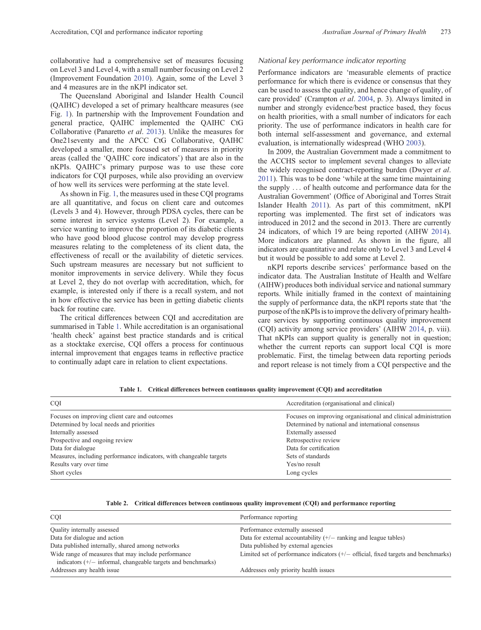<span id="page-4-0"></span>collaborative had a comprehensive set of measures focusing on Level 3 and Level 4, with a small number focusing on Level 2 (Improvement Foundation [2010\)](#page-5-0). Again, some of the Level 3 and 4 measures are in the nKPI indicator set.

The Queensland Aboriginal and Islander Health Council (QAIHC) developed a set of primary healthcare measures (see Fig. [1\)](#page-3-0). In partnership with the Improvement Foundation and general practice, QAIHC implemented the QAIHC CtG Collaborative (Panaretto *et al*. [2013](#page-6-0)). Unlike the measures for One21seventy and the APCC CtG Collaborative, QAIHC developed a smaller, more focused set of measures in priority areas (called the 'QAIHC core indicators') that are also in the nKPIs. QAIHC's primary purpose was to use these core indicators for CQI purposes, while also providing an overview of how well its services were performing at the state level.

As shown in Fig. [1](#page-3-0), the measures used in these CQI programs are all quantitative, and focus on client care and outcomes (Levels 3 and 4). However, through PDSA cycles, there can be some interest in service systems (Level 2). For example, a service wanting to improve the proportion of its diabetic clients who have good blood glucose control may develop progress measures relating to the completeness of its client data, the effectiveness of recall or the availability of dietetic services. Such upstream measures are necessary but not sufficient to monitor improvements in service delivery. While they focus at Level 2, they do not overlap with accreditation, which, for example, is interested only if there is a recall system, and not in how effective the service has been in getting diabetic clients back for routine care.

The critical differences between CQI and accreditation are summarised in Table 1. While accreditation is an organisational 'health check' against best practice standards and is critical as a stocktake exercise, CQI offers a process for continuous internal improvement that engages teams in reflective practice to continually adapt care in relation to client expectations.

# *National key performance indicator reporting*

Performance indicators are 'measurable elements of practice performance for which there is evidence or consensus that they can be used to assess the quality, and hence change of quality, of care provided' (Crampton *et al*. [2004,](#page-5-0) p. 3). Always limited in number and strongly evidence/best practice based, they focus on health priorities, with a small number of indicators for each priority. The use of performance indicators in health care for both internal self-assessment and governance, and external evaluation, is internationally widespread (WHO [2003\)](#page-6-0).

In 2009, the Australian Government made a commitment to the ACCHS sector to implement several changes to alleviate the widely recognised contract-reporting burden (Dwyer *et al*. [2011](#page-5-0)). This was to be done 'while at the same time maintaining the supply ... of health outcome and performance data for the Australian Government' (Office of Aboriginal and Torres Strait Islander Health [2011](#page-6-0)). As part of this commitment, nKPI reporting was implemented. The first set of indicators was introduced in 2012 and the second in 2013. There are currently 24 indicators, of which 19 are being reported (AIHW [2014](#page-5-0)). More indicators are planned. As shown in the figure, all indicators are quantitative and relate only to Level 3 and Level 4 but it would be possible to add some at Level 2.

nKPI reports describe services' performance based on the indicator data. The Australian Institute of Health and Welfare (AIHW) produces both individual service and national summary reports. While initially framed in the context of maintaining the supply of performance data, the nKPI reports state that 'the purpose of the nKPIs is to improve the delivery of primary healthcare services by supporting continuous quality improvement (CQI) activity among service providers' (AIHW [2014](#page-5-0), p. viii). That nKPIs can support quality is generally not in question; whether the current reports can support local CQI is more problematic. First, the timelag between data reporting periods and report release is not timely from a CQI perspective and the

| <b>COI</b>                                                          | Accreditation (organisational and clinical)                     |
|---------------------------------------------------------------------|-----------------------------------------------------------------|
| Focuses on improving client care and outcomes                       | Focuses on improving organisational and clinical administration |
| Determined by local needs and priorities                            | Determined by national and international consensus              |
| Internally assessed                                                 | Externally assessed                                             |
| Prospective and ongoing review                                      | Retrospective review                                            |
| Data for dialogue                                                   | Data for certification                                          |
| Measures, including performance indicators, with changeable targets | Sets of standards                                               |
| Results vary over time                                              | Yes/no result                                                   |
| Short cycles                                                        | Long cycles                                                     |

**Table 1. Critical differences between continuous quality improvement (CQI) and accreditation**

|  |  | Table 2. Critical differences between continuous quality improvement (CQI) and performance reporting |
|--|--|------------------------------------------------------------------------------------------------------|
|  |  |                                                                                                      |

| <b>CQI</b>                                                                                                            | Performance reporting                                                                |
|-----------------------------------------------------------------------------------------------------------------------|--------------------------------------------------------------------------------------|
| Quality internally assessed                                                                                           | Performance externally assessed                                                      |
| Data for dialogue and action                                                                                          | Data for external accountability $(+/-$ ranking and league tables)                   |
| Data published internally, shared among networks                                                                      | Data published by external agencies                                                  |
| Wide range of measures that may include performance<br>indicators $(+/-$ informal, changeable targets and benchmarks) | Limited set of performance indicators $(+/-$ official, fixed targets and benchmarks) |
| Addresses any health issue                                                                                            | Addresses only priority health issues                                                |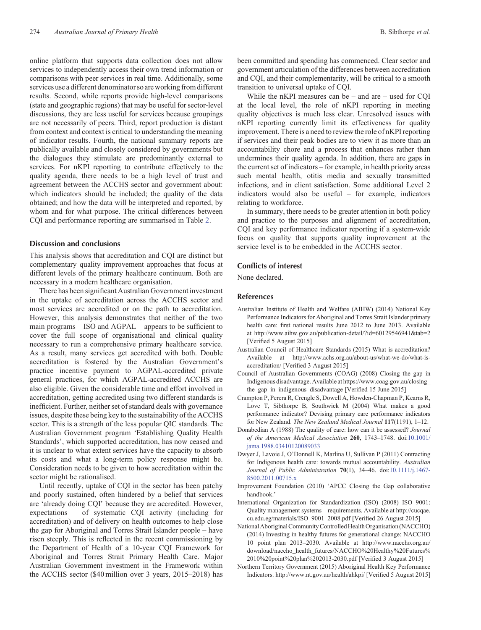<span id="page-5-0"></span>online platform that supports data collection does not allow services to independently access their own trend information or comparisons with peer services in real time. Additionally, some services use a different denominator so are working from different results. Second, while reports provide high-level comparisons (state and geographic regions) that may be useful for sector-level discussions, they are less useful for services because groupings are not necessarily of peers. Third, report production is distant from context and context is critical to understanding the meaning of indicator results. Fourth, the national summary reports are publically available and closely considered by governments but the dialogues they stimulate are predominantly external to services. For nKPI reporting to contribute effectively to the quality agenda, there needs to be a high level of trust and agreement between the ACCHS sector and government about: which indicators should be included; the quality of the data obtained; and how the data will be interpreted and reported, by whom and for what purpose. The critical differences between CQI and performance reporting are summarised in Table [2](#page-4-0).

# **Discussion and conclusions**

This analysis shows that accreditation and CQI are distinct but complementary quality improvement approaches that focus at different levels of the primary healthcare continuum. Both are necessary in a modern healthcare organisation.

There has been significant Australian Government investment in the uptake of accreditation across the ACCHS sector and most services are accredited or on the path to accreditation. However, this analysis demonstrates that neither of the two main programs – ISO and AGPAL – appears to be sufficient to cover the full scope of organisational and clinical quality necessary to run a comprehensive primary healthcare service. As a result, many services get accredited with both. Double accreditation is fostered by the Australian Government's practice incentive payment to AGPAL-accredited private general practices, for which AGPAL-accredited ACCHS are also eligible. Given the considerable time and effort involved in accreditation, getting accredited using two different standards is inefficient. Further, neither set of standard deals with governance issues, despite these being key to the sustainability of the ACCHS sector. This is a strength of the less popular QIC standards. The Australian Government program 'Establishing Quality Health Standards', which supported accreditation, has now ceased and it is unclear to what extent services have the capacity to absorb its costs and what a long-term policy response might be. Consideration needs to be given to how accreditation within the sector might be rationalised.

Until recently, uptake of CQI in the sector has been patchy and poorly sustained, often hindered by a belief that services are 'already doing CQI' because they are accredited. However, expectations – of systematic CQI activity (including for accreditation) and of delivery on health outcomes to help close the gap for Aboriginal and Torres Strait Islander people – have risen steeply. This is reflected in the recent commissioning by the Department of Health of a 10-year CQI Framework for Aboriginal and Torres Strait Primary Health Care. Major Australian Government investment in the Framework within the ACCHS sector (\$40 million over 3 years, 2015–2018) has been committed and spending has commenced. Clear sector and government articulation of the differences between accreditation and CQI, and their complementarity, will be critical to a smooth transition to universal uptake of CQI.

While the nKPI measures can be – and are – used for CQI at the local level, the role of nKPI reporting in meeting quality objectives is much less clear. Unresolved issues with nKPI reporting currently limit its effectiveness for quality improvement. There is a need to review the role of nKPI reporting if services and their peak bodies are to view it as more than an accountability chore and a process that enhances rather than undermines their quality agenda. In addition, there are gaps in the current set of indicators – for example, in health priority areas such mental health, otitis media and sexually transmitted infections, and in client satisfaction. Some additional Level 2 indicators would also be useful – for example, indicators relating to workforce.

In summary, there needs to be greater attention in both policy and practice to the purposes and alignment of accreditation, CQI and key performance indicator reporting if a system-wide focus on quality that supports quality improvement at the service level is to be embedded in the ACCHS sector.

# **Conflicts of interest**

None declared.

# **References**

- Australian Institute of Health and Welfare (AIHW) (2014) National Key Performance Indicators for Aboriginal and Torres Strait Islander primary health care: first national results June 2012 to June 2013. Available at<http://www.aihw.gov.au/publication-detail/?id=60129546941&tab=2> [Verified 5 August 2015]
- Australian Council of Healthcare Standards (2015) What is accreditation? Available at [http://www.achs.org.au/about-us/what-we-do/what-is](http://www.achs.org.au/about-us/what-we-do/what-is-accreditation/)[accreditation/](http://www.achs.org.au/about-us/what-we-do/what-is-accreditation/) [Verified 3 August 2015]
- Council of Australian Governments (COAG) (2008) Closing the gap in Indigenous disadvantage. Available at [https://www.coag.gov.au/closing\\_](https://www.coag.gov.au/closing_the_gap_in_indigenous_disadvantage) [the\\_gap\\_in\\_indigenous\\_disadvantage](https://www.coag.gov.au/closing_the_gap_in_indigenous_disadvantage) [Verified 15 June 2015]
- Crampton P, Perera R, Crengle S, Dowell A, Howden-Chapman P, Kearns R, Love T, Sibthorpe B, Southwick M (2004) What makes a good performance indicator? Devising primary care performance indicators for New Zealand. *The New Zealand Medical Journal* **117**(1191), 1–12.
- Donabedian A (1988) The quality of care: how can it be assessed? *Journal of the American Medical Association* **260**, 1743–1748. doi:[10.1001/](dx.doi.org/10.1001/jama.1988.03410120089033) [jama.1988.03410120089033](dx.doi.org/10.1001/jama.1988.03410120089033)
- Dwyer J, Lavoie J, O'Donnell K, Marlina U, Sullivan P (2011) Contracting for Indigenous health care: towards mutual accountability. *Australian Journal of Public Administration* **70**(1), 34–46. doi[:10.1111/j.1467-](dx.doi.org/10.1111/j.1467-8500.2011.00715.x) [8500.2011.00715.x](dx.doi.org/10.1111/j.1467-8500.2011.00715.x)
- Improvement Foundation (2010) 'APCC Closing the Gap collaborative handbook.'
- International Organization for Standardization (ISO) (2008) ISO 9001: Quality management systems – requirements. Available at [http://cucqae.](http://cucqae.cu.edu.eg/materials/ISO_9001_2008.pdf) [cu.edu.eg/materials/ISO\\_9001\\_2008.pdf](http://cucqae.cu.edu.eg/materials/ISO_9001_2008.pdf) [Verified 26 August 2015]
- National AboriginalCommunityControlled Health Organisation (NACCHO) (2014) Investing in healthy futures for generational change: NACCHO 10 point plan 2013–2030. Available at [http://www.naccho.org.au/](http://www.naccho.org.au/download/naccho_health_futures/NACCHO%20Healthy%20Futures%2010%20point%20plan%202013-2030.pdf) [download/naccho\\_health\\_futures/NACCHO%20Healthy%20Futures%](http://www.naccho.org.au/download/naccho_health_futures/NACCHO%20Healthy%20Futures%2010%20point%20plan%202013-2030.pdf) [2010%20point%20plan%202013-2030.pdf](http://www.naccho.org.au/download/naccho_health_futures/NACCHO%20Healthy%20Futures%2010%20point%20plan%202013-2030.pdf) [Verified 3 August 2015]
- Northern Territory Government (2015) Aboriginal Health Key Performance Indicators.<http://www.nt.gov.au/health/ahkpi/> [Verified 5 August 2015]